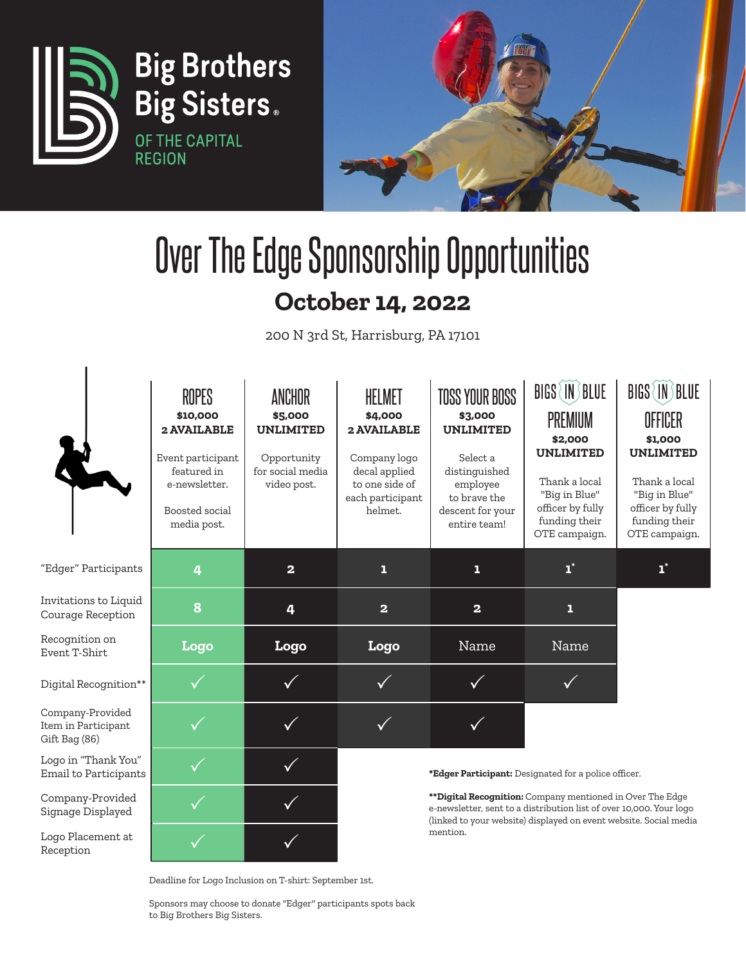

# Over The Edge Sponsorship Opportunities **October 14, 2022**

200 N 3rd St, Harrisburg, PA 17101

|                                                          | ROPES<br>\$10,000<br>2 AVAILABLE<br>Event participant<br>featured in<br>e-newsletter.<br>Boosted social<br>media post. | ANCHOR<br>\$5,000<br><b>UNLIMITED</b><br>Opportunity<br>for social media<br>video post. | <b>HELMET</b><br>\$4,000<br>2 AVAILABLE<br>Company logo<br>decal applied<br>to one side of<br>each participant<br>helmet.                                                                             | <b>TOSS YOUR BOSS</b><br>\$3,000<br><b>UNLIMITED</b><br>Select a<br>distinguished<br>employee<br>to brave the<br>descent for your<br>entire team! | BIGS (IN) BLUE<br><b>PREMIUM</b><br>\$2,000<br><b>UNLIMITED</b><br>Thank a local<br>"Big in Blue"<br>officer by fully<br>funding their<br>OTE campaign. | BIGS (IN) BLUE<br>OFFICER<br>\$1,000<br><b>UNLIMITED</b><br>Thank a local<br>"Big in Blue"<br>officer by fully<br>funding their<br>OTE campaign. |  |
|----------------------------------------------------------|------------------------------------------------------------------------------------------------------------------------|-----------------------------------------------------------------------------------------|-------------------------------------------------------------------------------------------------------------------------------------------------------------------------------------------------------|---------------------------------------------------------------------------------------------------------------------------------------------------|---------------------------------------------------------------------------------------------------------------------------------------------------------|--------------------------------------------------------------------------------------------------------------------------------------------------|--|
| "Edger" Participants                                     | 4                                                                                                                      | $\overline{\mathbf{2}}$                                                                 | ı                                                                                                                                                                                                     | 1                                                                                                                                                 | $\mathbf{1}^*$                                                                                                                                          | $\mathbf{1}^*$                                                                                                                                   |  |
| Invitations to Liquid<br>Courage Reception               | 8                                                                                                                      | 4                                                                                       | $\overline{\mathbf{2}}$                                                                                                                                                                               | $\overline{\mathbf{2}}$                                                                                                                           | ı                                                                                                                                                       |                                                                                                                                                  |  |
| Recognition on<br>Event T-Shirt                          | Logo                                                                                                                   | Logo                                                                                    | Logo                                                                                                                                                                                                  | Name                                                                                                                                              | Name                                                                                                                                                    |                                                                                                                                                  |  |
| Digital Recognition**                                    |                                                                                                                        |                                                                                         |                                                                                                                                                                                                       |                                                                                                                                                   |                                                                                                                                                         |                                                                                                                                                  |  |
| Company-Provided<br>Item in Participant<br>Gift Bag (86) |                                                                                                                        |                                                                                         |                                                                                                                                                                                                       |                                                                                                                                                   |                                                                                                                                                         |                                                                                                                                                  |  |
| Logo in "Thank You"<br>Email to Participants             |                                                                                                                        |                                                                                         | *Edger Participant: Designated for a police officer.                                                                                                                                                  |                                                                                                                                                   |                                                                                                                                                         |                                                                                                                                                  |  |
| Company-Provided<br>Signage Displayed                    |                                                                                                                        |                                                                                         | **Digital Recognition: Company mentioned in Over The Edge<br>e-newsletter, sent to a distribution list of over 10,000. Your logo<br>(linked to your website) displayed on event website. Social media |                                                                                                                                                   |                                                                                                                                                         |                                                                                                                                                  |  |
| Logo Placement at<br>Reception                           |                                                                                                                        |                                                                                         |                                                                                                                                                                                                       | mention.                                                                                                                                          |                                                                                                                                                         |                                                                                                                                                  |  |

Deadline for Logo Inclusion on T-shirt: September 1st.

 $\overline{1}$ 

Sponsors may choose to donate "Edger" participants spots back to Big Brothers Big Sisters.